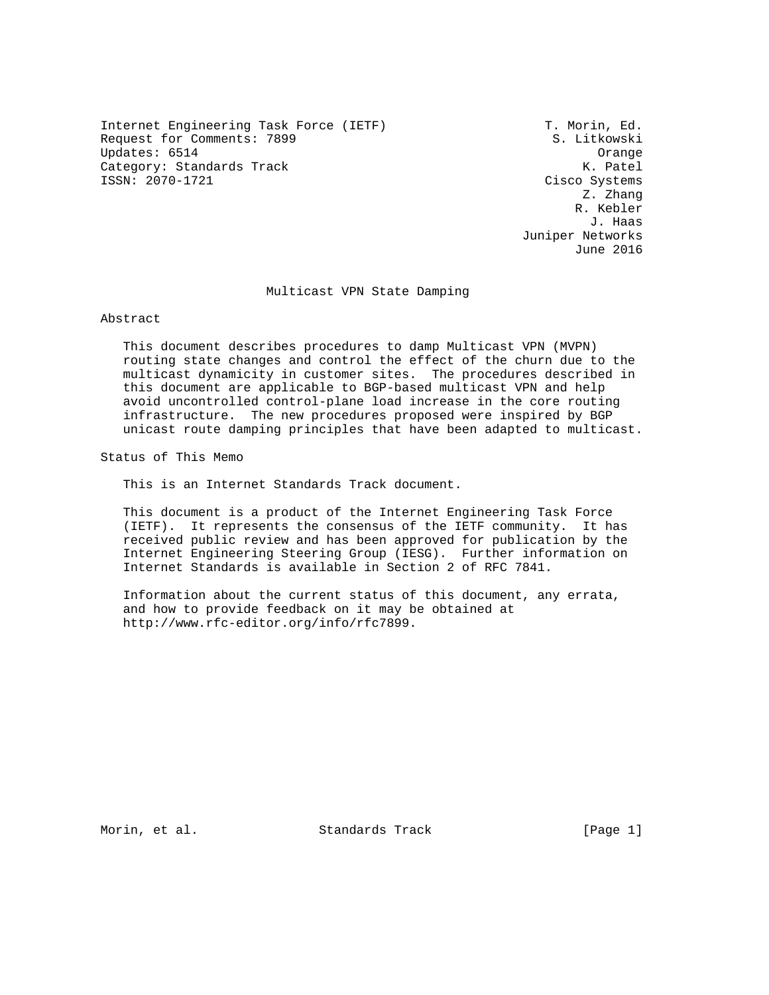Internet Engineering Task Force (IETF) T. Morin, Ed. Request for Comments: 7899 S. Litkowski Updates: 6514 Orange Category: Standards Track ISSN: 2070-1721 Cisco Systems

 Z. Zhang R. Kebler J. Haas Juniper Networks June 2016

## Multicast VPN State Damping

Abstract

 This document describes procedures to damp Multicast VPN (MVPN) routing state changes and control the effect of the churn due to the multicast dynamicity in customer sites. The procedures described in this document are applicable to BGP-based multicast VPN and help avoid uncontrolled control-plane load increase in the core routing infrastructure. The new procedures proposed were inspired by BGP unicast route damping principles that have been adapted to multicast.

Status of This Memo

This is an Internet Standards Track document.

 This document is a product of the Internet Engineering Task Force (IETF). It represents the consensus of the IETF community. It has received public review and has been approved for publication by the Internet Engineering Steering Group (IESG). Further information on Internet Standards is available in Section 2 of RFC 7841.

 Information about the current status of this document, any errata, and how to provide feedback on it may be obtained at http://www.rfc-editor.org/info/rfc7899.

Morin, et al. Standards Track [Page 1]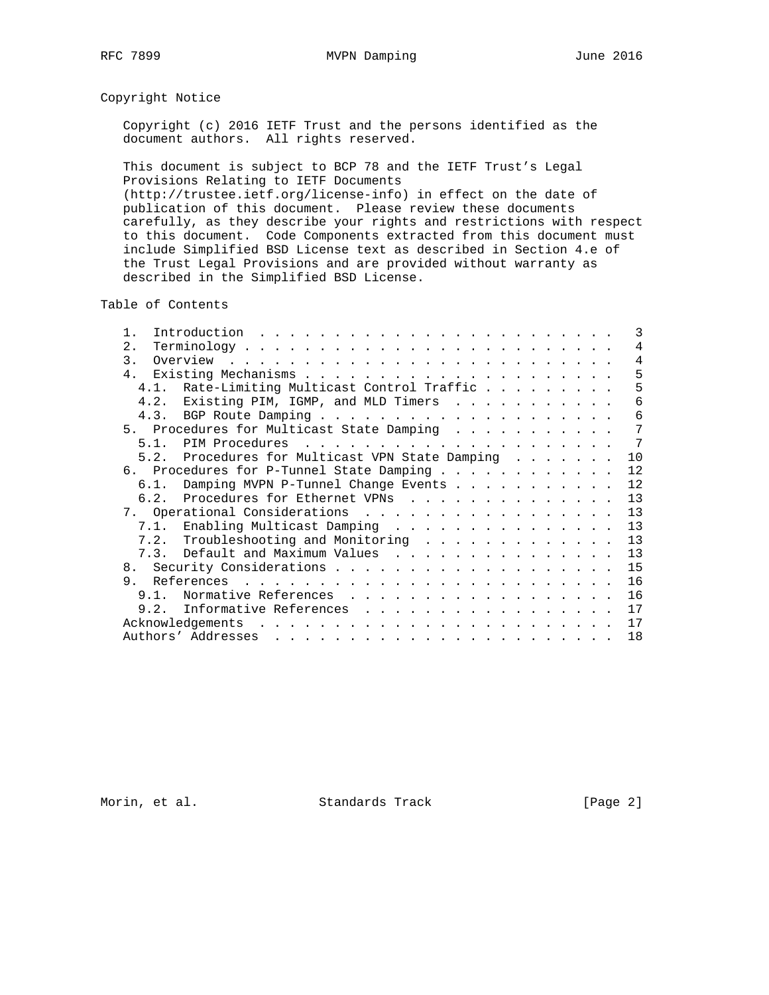# Copyright Notice

 Copyright (c) 2016 IETF Trust and the persons identified as the document authors. All rights reserved.

 This document is subject to BCP 78 and the IETF Trust's Legal Provisions Relating to IETF Documents (http://trustee.ietf.org/license-info) in effect on the date of publication of this document. Please review these documents carefully, as they describe your rights and restrictions with respect to this document. Code Components extracted from this document must include Simplified BSD License text as described in Section 4.e of the Trust Legal Provisions and are provided without warranty as described in the Simplified BSD License.

Table of Contents

|     |                                                 |  |  |  | 3               |
|-----|-------------------------------------------------|--|--|--|-----------------|
| 2.1 |                                                 |  |  |  | 4               |
|     |                                                 |  |  |  | $\overline{4}$  |
|     |                                                 |  |  |  | 5               |
|     | 4.1. Rate-Limiting Multicast Control Traffic    |  |  |  | 5               |
|     | 4.2. Existing PIM, IGMP, and MLD Timers         |  |  |  | 6               |
|     |                                                 |  |  |  | 6               |
|     | 5. Procedures for Multicast State Damping       |  |  |  | 7               |
|     |                                                 |  |  |  | $7\phantom{.0}$ |
|     | 5.2. Procedures for Multicast VPN State Damping |  |  |  | 10              |
|     | 6. Procedures for P-Tunnel State Damping        |  |  |  | 12              |
|     | 6.1. Damping MVPN P-Tunnel Change Events        |  |  |  | 12              |
|     | 6.2. Procedures for Ethernet VPNs               |  |  |  | 13              |
|     |                                                 |  |  |  | 13              |
|     | 7.1. Enabling Multicast Damping                 |  |  |  | 13              |
|     | 7.2. Troubleshooting and Monitoring             |  |  |  | 13              |
|     | 7.3. Default and Maximum Values                 |  |  |  | 13              |
|     |                                                 |  |  |  | 15              |
| 9.  |                                                 |  |  |  | 16              |
|     | 9.1. Normative References                       |  |  |  | 16              |
|     | 9.2. Informative References                     |  |  |  | 17              |
|     |                                                 |  |  |  | 17              |
|     |                                                 |  |  |  | 18              |

Morin, et al. Standards Track [Page 2]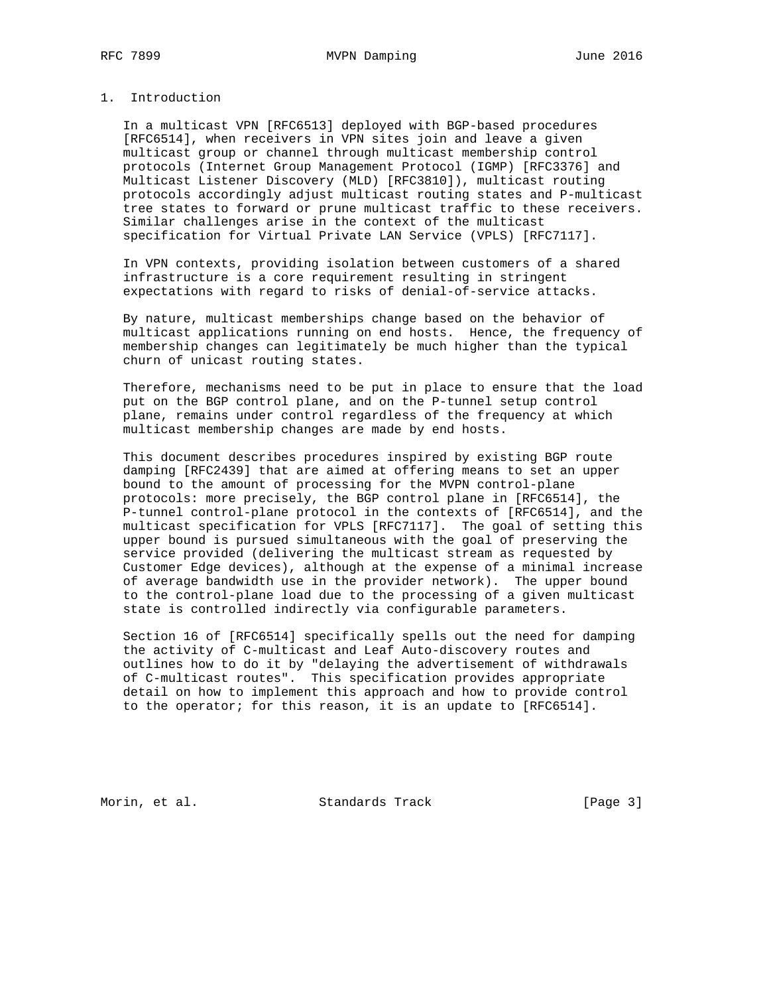## 1. Introduction

 In a multicast VPN [RFC6513] deployed with BGP-based procedures [RFC6514], when receivers in VPN sites join and leave a given multicast group or channel through multicast membership control protocols (Internet Group Management Protocol (IGMP) [RFC3376] and Multicast Listener Discovery (MLD) [RFC3810]), multicast routing protocols accordingly adjust multicast routing states and P-multicast tree states to forward or prune multicast traffic to these receivers. Similar challenges arise in the context of the multicast specification for Virtual Private LAN Service (VPLS) [RFC7117].

 In VPN contexts, providing isolation between customers of a shared infrastructure is a core requirement resulting in stringent expectations with regard to risks of denial-of-service attacks.

 By nature, multicast memberships change based on the behavior of multicast applications running on end hosts. Hence, the frequency of membership changes can legitimately be much higher than the typical churn of unicast routing states.

 Therefore, mechanisms need to be put in place to ensure that the load put on the BGP control plane, and on the P-tunnel setup control plane, remains under control regardless of the frequency at which multicast membership changes are made by end hosts.

 This document describes procedures inspired by existing BGP route damping [RFC2439] that are aimed at offering means to set an upper bound to the amount of processing for the MVPN control-plane protocols: more precisely, the BGP control plane in [RFC6514], the P-tunnel control-plane protocol in the contexts of [RFC6514], and the multicast specification for VPLS [RFC7117]. The goal of setting this upper bound is pursued simultaneous with the goal of preserving the service provided (delivering the multicast stream as requested by Customer Edge devices), although at the expense of a minimal increase of average bandwidth use in the provider network). The upper bound to the control-plane load due to the processing of a given multicast state is controlled indirectly via configurable parameters.

 Section 16 of [RFC6514] specifically spells out the need for damping the activity of C-multicast and Leaf Auto-discovery routes and outlines how to do it by "delaying the advertisement of withdrawals of C-multicast routes". This specification provides appropriate detail on how to implement this approach and how to provide control to the operator; for this reason, it is an update to [RFC6514].

Morin, et al. Standards Track [Page 3]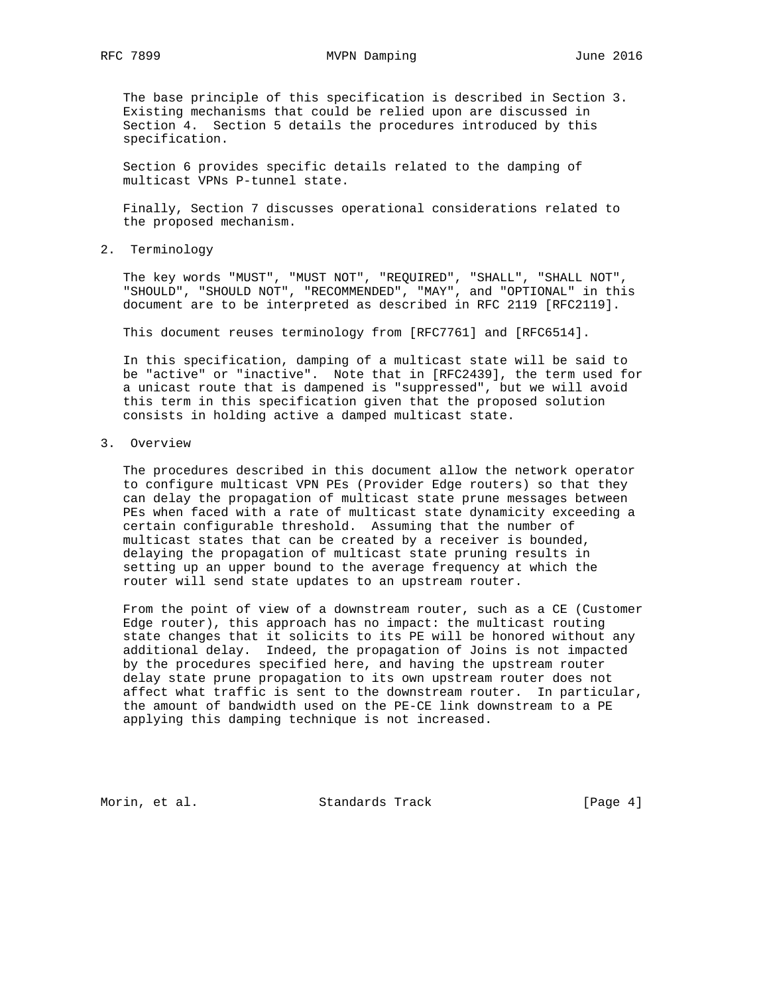The base principle of this specification is described in Section 3. Existing mechanisms that could be relied upon are discussed in Section 4. Section 5 details the procedures introduced by this specification.

 Section 6 provides specific details related to the damping of multicast VPNs P-tunnel state.

 Finally, Section 7 discusses operational considerations related to the proposed mechanism.

2. Terminology

 The key words "MUST", "MUST NOT", "REQUIRED", "SHALL", "SHALL NOT", "SHOULD", "SHOULD NOT", "RECOMMENDED", "MAY", and "OPTIONAL" in this document are to be interpreted as described in RFC 2119 [RFC2119].

This document reuses terminology from [RFC7761] and [RFC6514].

 In this specification, damping of a multicast state will be said to be "active" or "inactive". Note that in [RFC2439], the term used for a unicast route that is dampened is "suppressed", but we will avoid this term in this specification given that the proposed solution consists in holding active a damped multicast state.

3. Overview

 The procedures described in this document allow the network operator to configure multicast VPN PEs (Provider Edge routers) so that they can delay the propagation of multicast state prune messages between PEs when faced with a rate of multicast state dynamicity exceeding a certain configurable threshold. Assuming that the number of multicast states that can be created by a receiver is bounded, delaying the propagation of multicast state pruning results in setting up an upper bound to the average frequency at which the router will send state updates to an upstream router.

 From the point of view of a downstream router, such as a CE (Customer Edge router), this approach has no impact: the multicast routing state changes that it solicits to its PE will be honored without any additional delay. Indeed, the propagation of Joins is not impacted by the procedures specified here, and having the upstream router delay state prune propagation to its own upstream router does not affect what traffic is sent to the downstream router. In particular, the amount of bandwidth used on the PE-CE link downstream to a PE applying this damping technique is not increased.

Morin, et al. Standards Track [Page 4]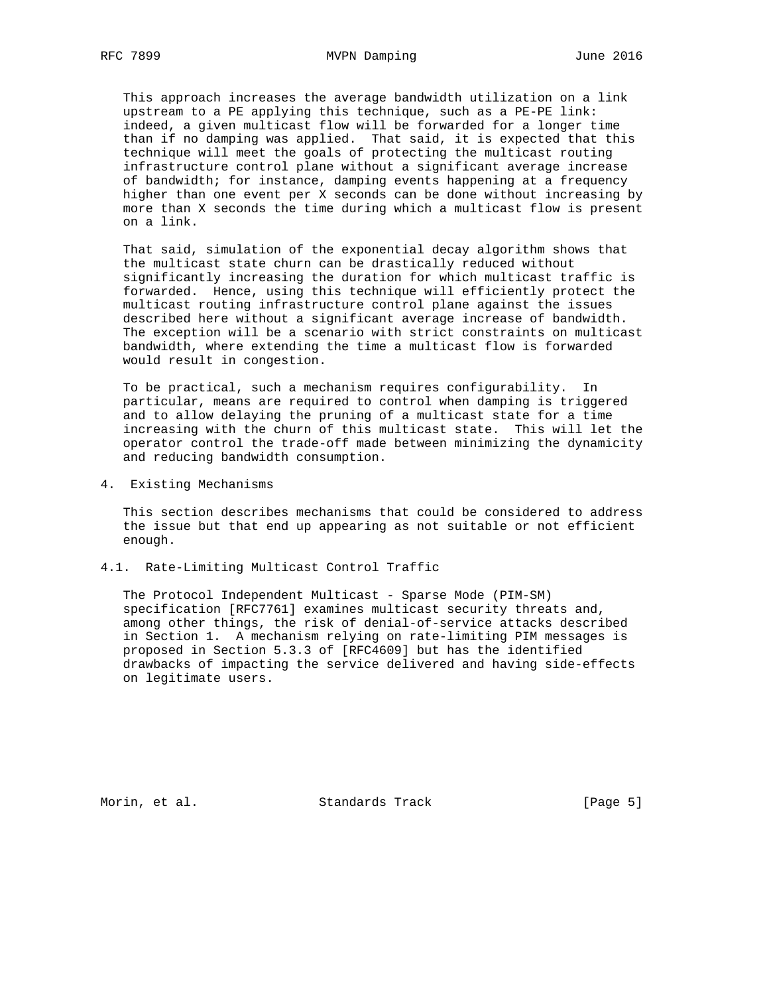This approach increases the average bandwidth utilization on a link upstream to a PE applying this technique, such as a PE-PE link: indeed, a given multicast flow will be forwarded for a longer time than if no damping was applied. That said, it is expected that this technique will meet the goals of protecting the multicast routing infrastructure control plane without a significant average increase of bandwidth; for instance, damping events happening at a frequency higher than one event per X seconds can be done without increasing by more than X seconds the time during which a multicast flow is present on a link.

 That said, simulation of the exponential decay algorithm shows that the multicast state churn can be drastically reduced without significantly increasing the duration for which multicast traffic is forwarded. Hence, using this technique will efficiently protect the multicast routing infrastructure control plane against the issues described here without a significant average increase of bandwidth. The exception will be a scenario with strict constraints on multicast bandwidth, where extending the time a multicast flow is forwarded would result in congestion.

 To be practical, such a mechanism requires configurability. In particular, means are required to control when damping is triggered and to allow delaying the pruning of a multicast state for a time increasing with the churn of this multicast state. This will let the operator control the trade-off made between minimizing the dynamicity and reducing bandwidth consumption.

4. Existing Mechanisms

 This section describes mechanisms that could be considered to address the issue but that end up appearing as not suitable or not efficient enough.

4.1. Rate-Limiting Multicast Control Traffic

 The Protocol Independent Multicast - Sparse Mode (PIM-SM) specification [RFC7761] examines multicast security threats and, among other things, the risk of denial-of-service attacks described in Section 1. A mechanism relying on rate-limiting PIM messages is proposed in Section 5.3.3 of [RFC4609] but has the identified drawbacks of impacting the service delivered and having side-effects on legitimate users.

Morin, et al. Standards Track [Page 5]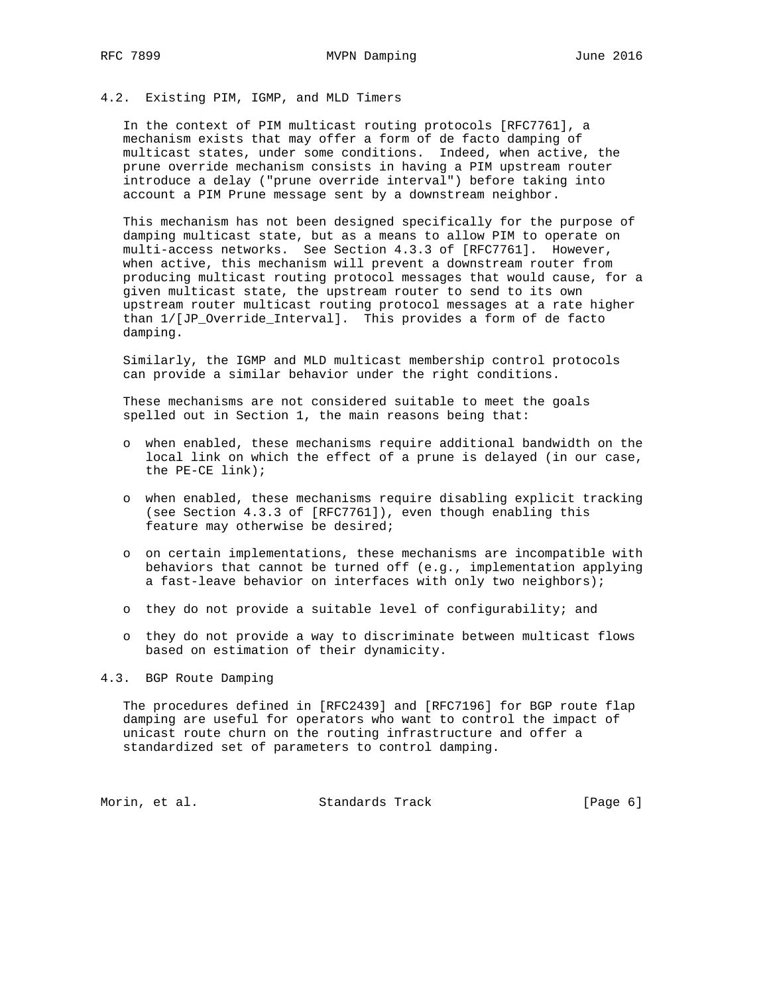# 4.2. Existing PIM, IGMP, and MLD Timers

 In the context of PIM multicast routing protocols [RFC7761], a mechanism exists that may offer a form of de facto damping of multicast states, under some conditions. Indeed, when active, the prune override mechanism consists in having a PIM upstream router introduce a delay ("prune override interval") before taking into account a PIM Prune message sent by a downstream neighbor.

 This mechanism has not been designed specifically for the purpose of damping multicast state, but as a means to allow PIM to operate on multi-access networks. See Section 4.3.3 of [RFC7761]. However, when active, this mechanism will prevent a downstream router from producing multicast routing protocol messages that would cause, for a given multicast state, the upstream router to send to its own upstream router multicast routing protocol messages at a rate higher than 1/[JP\_Override\_Interval]. This provides a form of de facto damping.

 Similarly, the IGMP and MLD multicast membership control protocols can provide a similar behavior under the right conditions.

 These mechanisms are not considered suitable to meet the goals spelled out in Section 1, the main reasons being that:

- o when enabled, these mechanisms require additional bandwidth on the local link on which the effect of a prune is delayed (in our case, the PE-CE link);
- o when enabled, these mechanisms require disabling explicit tracking (see Section 4.3.3 of [RFC7761]), even though enabling this feature may otherwise be desired;
- o on certain implementations, these mechanisms are incompatible with behaviors that cannot be turned off (e.g., implementation applying a fast-leave behavior on interfaces with only two neighbors);
- o they do not provide a suitable level of configurability; and
- o they do not provide a way to discriminate between multicast flows based on estimation of their dynamicity.

4.3. BGP Route Damping

 The procedures defined in [RFC2439] and [RFC7196] for BGP route flap damping are useful for operators who want to control the impact of unicast route churn on the routing infrastructure and offer a standardized set of parameters to control damping.

Morin, et al. Standards Track [Page 6]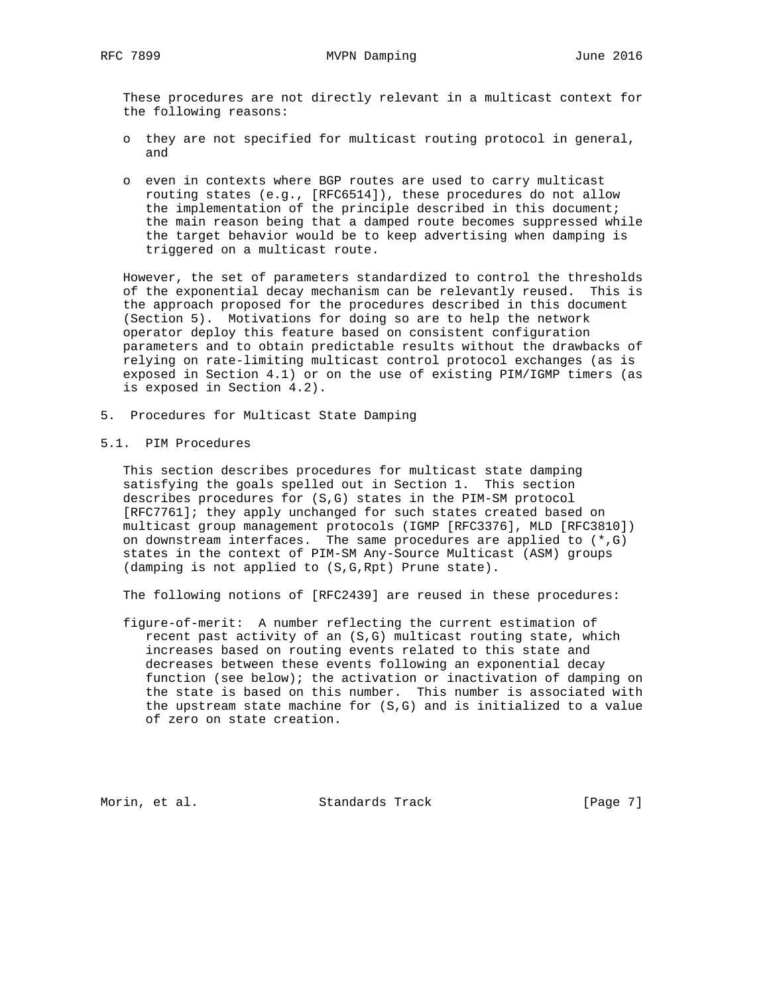These procedures are not directly relevant in a multicast context for the following reasons:

- o they are not specified for multicast routing protocol in general, and
- o even in contexts where BGP routes are used to carry multicast routing states (e.g., [RFC6514]), these procedures do not allow the implementation of the principle described in this document; the main reason being that a damped route becomes suppressed while the target behavior would be to keep advertising when damping is triggered on a multicast route.

 However, the set of parameters standardized to control the thresholds of the exponential decay mechanism can be relevantly reused. This is the approach proposed for the procedures described in this document (Section 5). Motivations for doing so are to help the network operator deploy this feature based on consistent configuration parameters and to obtain predictable results without the drawbacks of relying on rate-limiting multicast control protocol exchanges (as is exposed in Section 4.1) or on the use of existing PIM/IGMP timers (as is exposed in Section 4.2).

- 5. Procedures for Multicast State Damping
- 5.1. PIM Procedures

 This section describes procedures for multicast state damping satisfying the goals spelled out in Section 1. This section describes procedures for (S,G) states in the PIM-SM protocol [RFC7761]; they apply unchanged for such states created based on multicast group management protocols (IGMP [RFC3376], MLD [RFC3810]) on downstream interfaces. The same procedures are applied to (\*,G) states in the context of PIM-SM Any-Source Multicast (ASM) groups (damping is not applied to (S,G,Rpt) Prune state).

The following notions of [RFC2439] are reused in these procedures:

 figure-of-merit: A number reflecting the current estimation of recent past activity of an (S,G) multicast routing state, which increases based on routing events related to this state and decreases between these events following an exponential decay function (see below); the activation or inactivation of damping on the state is based on this number. This number is associated with the upstream state machine for (S,G) and is initialized to a value of zero on state creation.

Morin, et al. Standards Track [Page 7]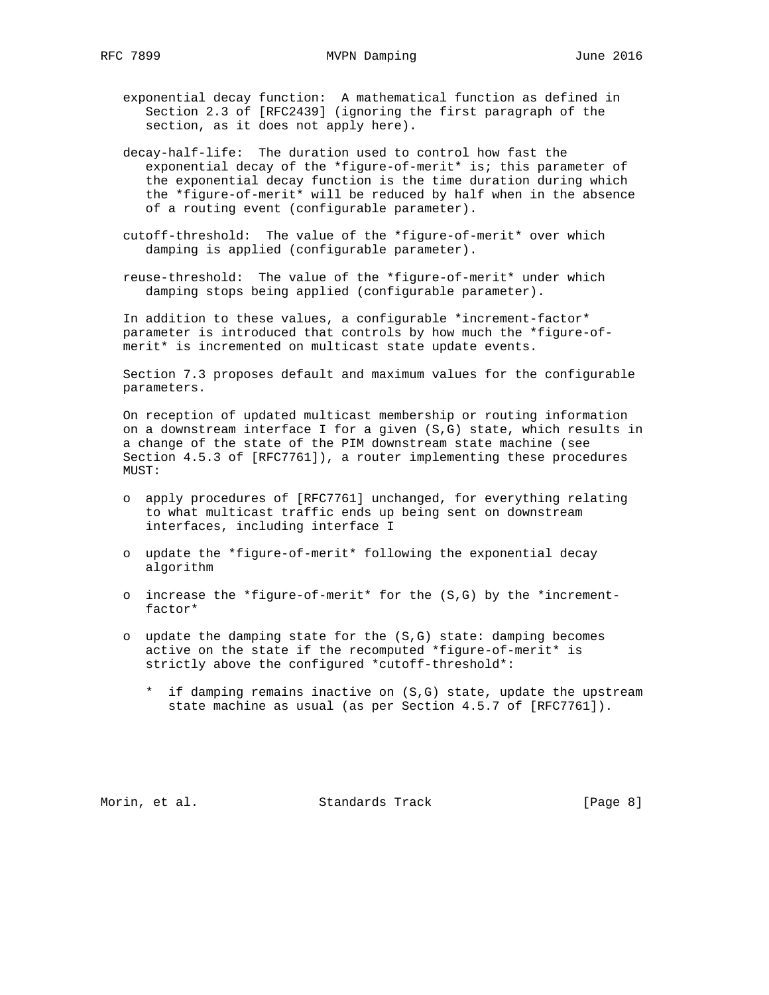exponential decay function: A mathematical function as defined in Section 2.3 of [RFC2439] (ignoring the first paragraph of the section, as it does not apply here).

 decay-half-life: The duration used to control how fast the exponential decay of the \*figure-of-merit\* is; this parameter of the exponential decay function is the time duration during which the \*figure-of-merit\* will be reduced by half when in the absence of a routing event (configurable parameter).

- cutoff-threshold: The value of the \*figure-of-merit\* over which damping is applied (configurable parameter).
- reuse-threshold: The value of the \*figure-of-merit\* under which damping stops being applied (configurable parameter).

 In addition to these values, a configurable \*increment-factor\* parameter is introduced that controls by how much the \*figure-of merit\* is incremented on multicast state update events.

 Section 7.3 proposes default and maximum values for the configurable parameters.

 On reception of updated multicast membership or routing information on a downstream interface I for a given (S,G) state, which results in a change of the state of the PIM downstream state machine (see Section 4.5.3 of [RFC7761]), a router implementing these procedures MUST:

- o apply procedures of [RFC7761] unchanged, for everything relating to what multicast traffic ends up being sent on downstream interfaces, including interface I
- o update the \*figure-of-merit\* following the exponential decay algorithm
- o increase the \*figure-of-merit\* for the (S,G) by the \*increment factor\*
- o update the damping state for the (S,G) state: damping becomes active on the state if the recomputed \*figure-of-merit\* is strictly above the configured \*cutoff-threshold\*:
	- \* if damping remains inactive on (S,G) state, update the upstream state machine as usual (as per Section 4.5.7 of [RFC7761]).

Morin, et al. Standards Track [Page 8]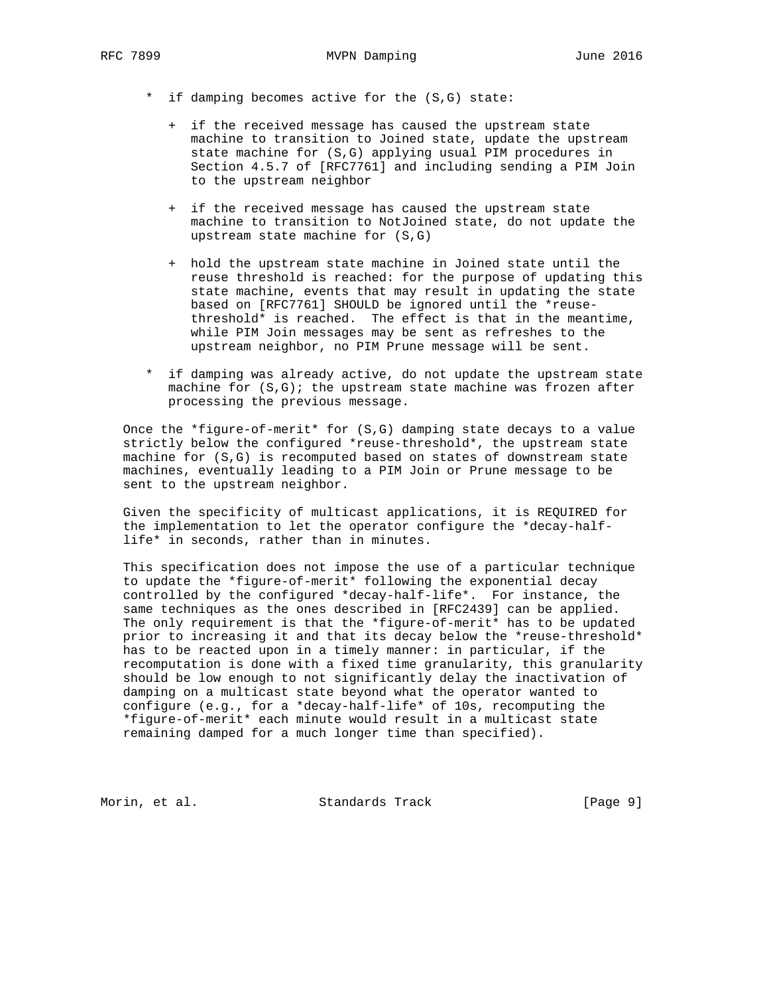- \* if damping becomes active for the (S,G) state:
	- + if the received message has caused the upstream state machine to transition to Joined state, update the upstream state machine for (S,G) applying usual PIM procedures in Section 4.5.7 of [RFC7761] and including sending a PIM Join to the upstream neighbor
	- + if the received message has caused the upstream state machine to transition to NotJoined state, do not update the upstream state machine for (S,G)
	- + hold the upstream state machine in Joined state until the reuse threshold is reached: for the purpose of updating this state machine, events that may result in updating the state based on [RFC7761] SHOULD be ignored until the \*reuse threshold\* is reached. The effect is that in the meantime, while PIM Join messages may be sent as refreshes to the upstream neighbor, no PIM Prune message will be sent.
- \* if damping was already active, do not update the upstream state machine for (S,G); the upstream state machine was frozen after processing the previous message.

 Once the \*figure-of-merit\* for (S,G) damping state decays to a value strictly below the configured \*reuse-threshold\*, the upstream state machine for (S,G) is recomputed based on states of downstream state machines, eventually leading to a PIM Join or Prune message to be sent to the upstream neighbor.

 Given the specificity of multicast applications, it is REQUIRED for the implementation to let the operator configure the \*decay-half life\* in seconds, rather than in minutes.

 This specification does not impose the use of a particular technique to update the \*figure-of-merit\* following the exponential decay controlled by the configured \*decay-half-life\*. For instance, the same techniques as the ones described in [RFC2439] can be applied. The only requirement is that the \*figure-of-merit\* has to be updated prior to increasing it and that its decay below the \*reuse-threshold\* has to be reacted upon in a timely manner: in particular, if the recomputation is done with a fixed time granularity, this granularity should be low enough to not significantly delay the inactivation of damping on a multicast state beyond what the operator wanted to configure (e.g., for a \*decay-half-life\* of 10s, recomputing the \*figure-of-merit\* each minute would result in a multicast state remaining damped for a much longer time than specified).

Morin, et al. Standards Track [Page 9]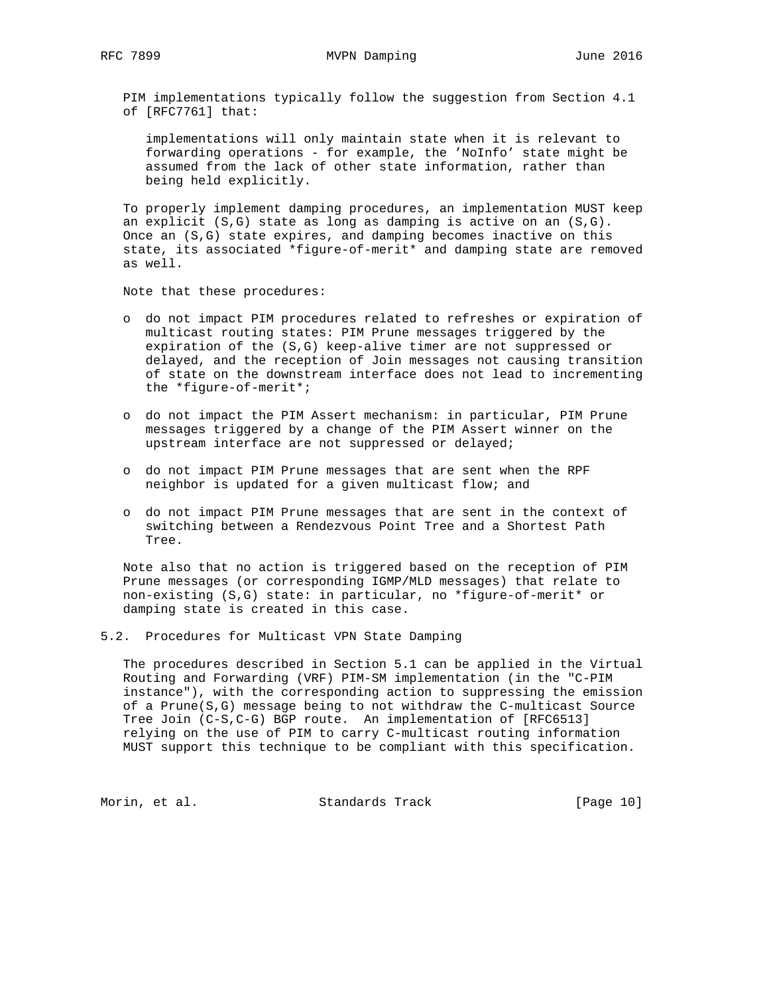PIM implementations typically follow the suggestion from Section 4.1 of [RFC7761] that:

 implementations will only maintain state when it is relevant to forwarding operations - for example, the 'NoInfo' state might be assumed from the lack of other state information, rather than being held explicitly.

 To properly implement damping procedures, an implementation MUST keep an explicit  $(S,G)$  state as long as damping is active on an  $(S,G)$ . Once an (S,G) state expires, and damping becomes inactive on this state, its associated \*figure-of-merit\* and damping state are removed as well.

Note that these procedures:

- o do not impact PIM procedures related to refreshes or expiration of multicast routing states: PIM Prune messages triggered by the expiration of the (S,G) keep-alive timer are not suppressed or delayed, and the reception of Join messages not causing transition of state on the downstream interface does not lead to incrementing the \*figure-of-merit\*;
- o do not impact the PIM Assert mechanism: in particular, PIM Prune messages triggered by a change of the PIM Assert winner on the upstream interface are not suppressed or delayed;
- o do not impact PIM Prune messages that are sent when the RPF neighbor is updated for a given multicast flow; and
- o do not impact PIM Prune messages that are sent in the context of switching between a Rendezvous Point Tree and a Shortest Path Tree.

 Note also that no action is triggered based on the reception of PIM Prune messages (or corresponding IGMP/MLD messages) that relate to non-existing (S,G) state: in particular, no \*figure-of-merit\* or damping state is created in this case.

## 5.2. Procedures for Multicast VPN State Damping

 The procedures described in Section 5.1 can be applied in the Virtual Routing and Forwarding (VRF) PIM-SM implementation (in the "C-PIM instance"), with the corresponding action to suppressing the emission of a Prune(S,G) message being to not withdraw the C-multicast Source Tree Join (C-S,C-G) BGP route. An implementation of [RFC6513] relying on the use of PIM to carry C-multicast routing information MUST support this technique to be compliant with this specification.

Morin, et al. Standards Track [Page 10]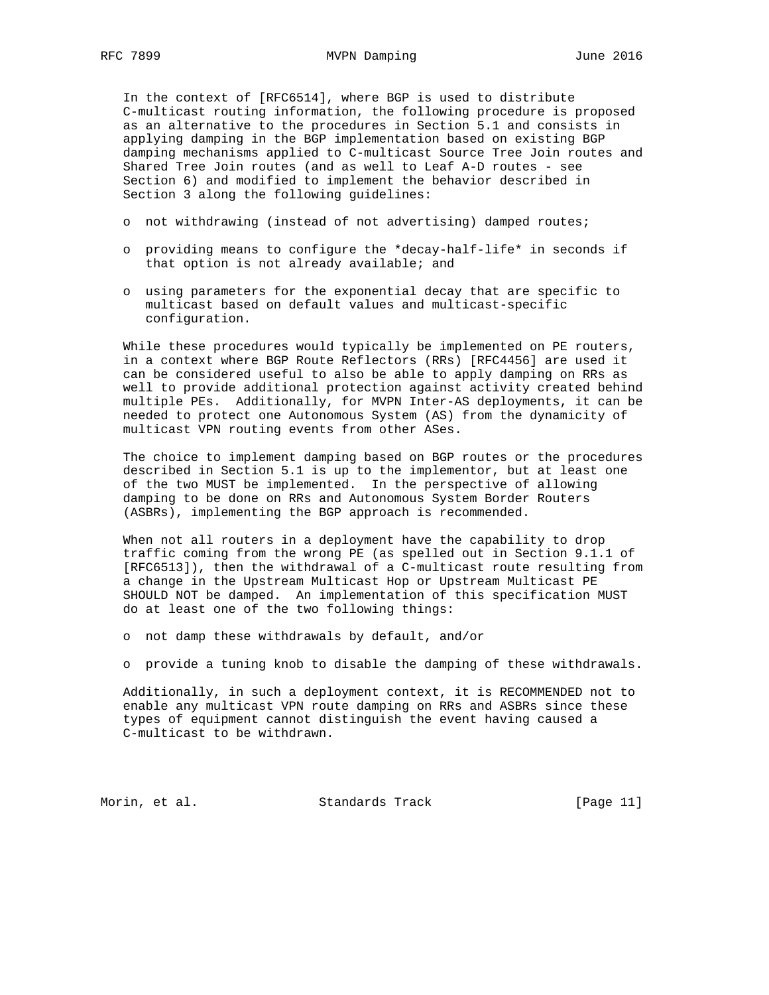In the context of [RFC6514], where BGP is used to distribute C-multicast routing information, the following procedure is proposed as an alternative to the procedures in Section 5.1 and consists in applying damping in the BGP implementation based on existing BGP damping mechanisms applied to C-multicast Source Tree Join routes and Shared Tree Join routes (and as well to Leaf A-D routes - see Section 6) and modified to implement the behavior described in Section 3 along the following guidelines:

- o not withdrawing (instead of not advertising) damped routes;
- o providing means to configure the \*decay-half-life\* in seconds if that option is not already available; and
- o using parameters for the exponential decay that are specific to multicast based on default values and multicast-specific configuration.

 While these procedures would typically be implemented on PE routers, in a context where BGP Route Reflectors (RRs) [RFC4456] are used it can be considered useful to also be able to apply damping on RRs as well to provide additional protection against activity created behind multiple PEs. Additionally, for MVPN Inter-AS deployments, it can be needed to protect one Autonomous System (AS) from the dynamicity of multicast VPN routing events from other ASes.

 The choice to implement damping based on BGP routes or the procedures described in Section 5.1 is up to the implementor, but at least one of the two MUST be implemented. In the perspective of allowing damping to be done on RRs and Autonomous System Border Routers (ASBRs), implementing the BGP approach is recommended.

 When not all routers in a deployment have the capability to drop traffic coming from the wrong PE (as spelled out in Section 9.1.1 of [RFC6513]), then the withdrawal of a C-multicast route resulting from a change in the Upstream Multicast Hop or Upstream Multicast PE SHOULD NOT be damped. An implementation of this specification MUST do at least one of the two following things:

o not damp these withdrawals by default, and/or

o provide a tuning knob to disable the damping of these withdrawals.

 Additionally, in such a deployment context, it is RECOMMENDED not to enable any multicast VPN route damping on RRs and ASBRs since these types of equipment cannot distinguish the event having caused a C-multicast to be withdrawn.

Morin, et al. Standards Track [Page 11]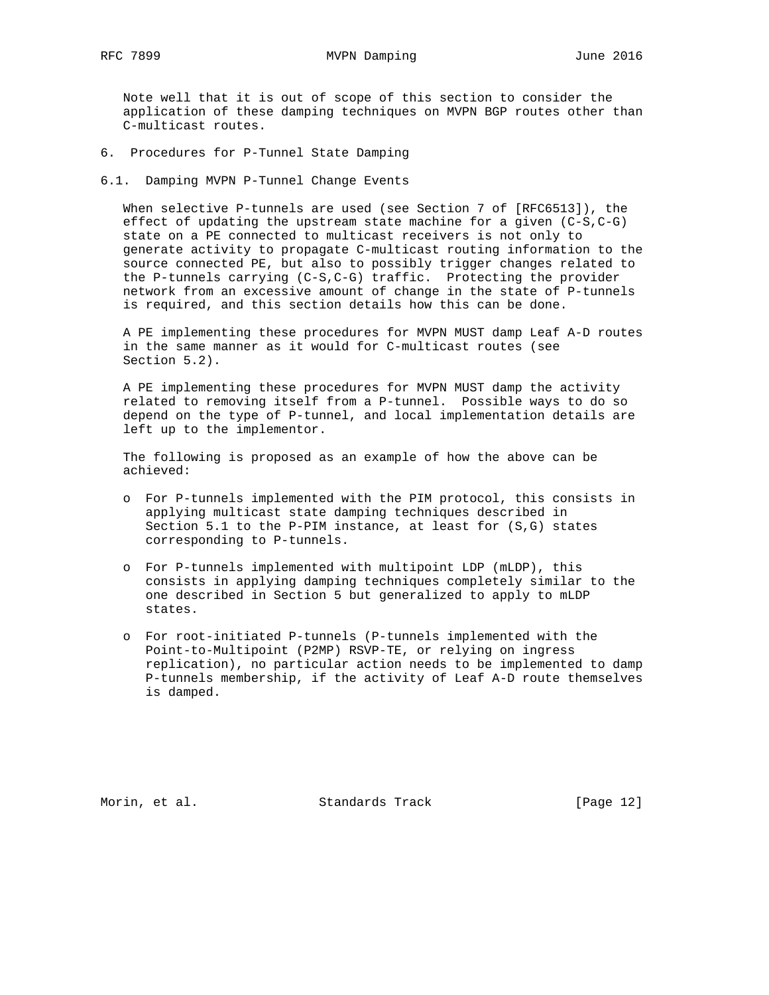Note well that it is out of scope of this section to consider the application of these damping techniques on MVPN BGP routes other than C-multicast routes.

- 6. Procedures for P-Tunnel State Damping
- 6.1. Damping MVPN P-Tunnel Change Events

When selective P-tunnels are used (see Section 7 of [RFC6513]), the effect of updating the upstream state machine for a given (C-S,C-G) state on a PE connected to multicast receivers is not only to generate activity to propagate C-multicast routing information to the source connected PE, but also to possibly trigger changes related to the P-tunnels carrying (C-S,C-G) traffic. Protecting the provider network from an excessive amount of change in the state of P-tunnels is required, and this section details how this can be done.

 A PE implementing these procedures for MVPN MUST damp Leaf A-D routes in the same manner as it would for C-multicast routes (see Section 5.2).

 A PE implementing these procedures for MVPN MUST damp the activity related to removing itself from a P-tunnel. Possible ways to do so depend on the type of P-tunnel, and local implementation details are left up to the implementor.

 The following is proposed as an example of how the above can be achieved:

- o For P-tunnels implemented with the PIM protocol, this consists in applying multicast state damping techniques described in Section 5.1 to the P-PIM instance, at least for (S,G) states corresponding to P-tunnels.
- o For P-tunnels implemented with multipoint LDP (mLDP), this consists in applying damping techniques completely similar to the one described in Section 5 but generalized to apply to mLDP states.
- o For root-initiated P-tunnels (P-tunnels implemented with the Point-to-Multipoint (P2MP) RSVP-TE, or relying on ingress replication), no particular action needs to be implemented to damp P-tunnels membership, if the activity of Leaf A-D route themselves is damped.

Morin, et al. Standards Track [Page 12]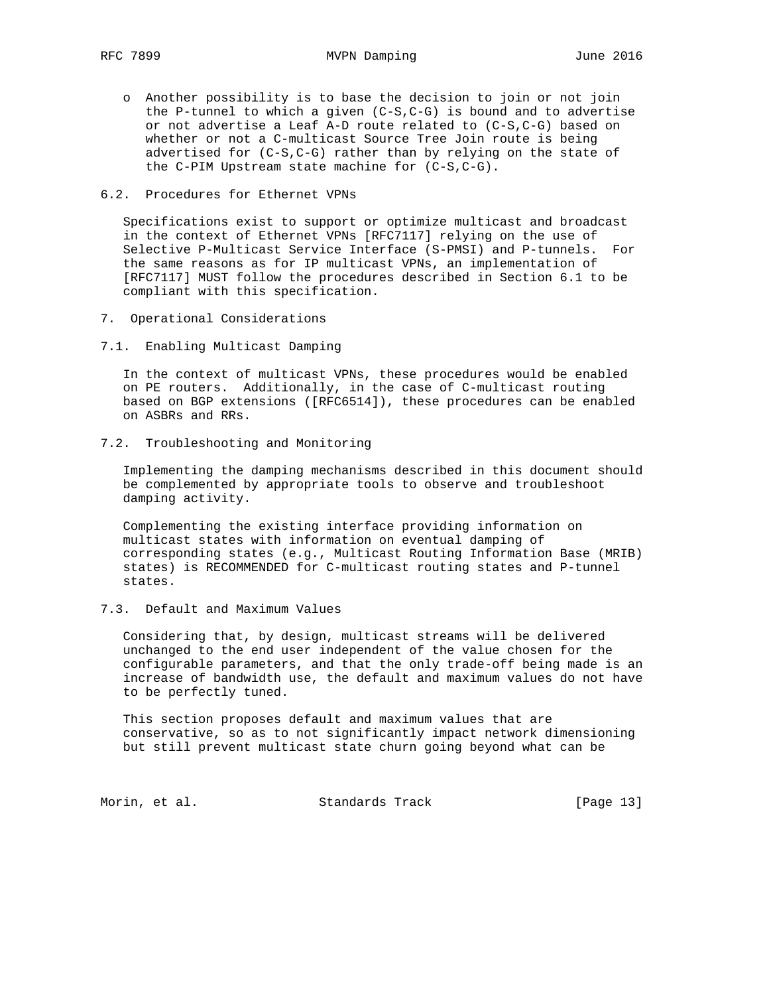- o Another possibility is to base the decision to join or not join the P-tunnel to which a given  $(C-S, C-G)$  is bound and to advertise or not advertise a Leaf A-D route related to (C-S,C-G) based on whether or not a C-multicast Source Tree Join route is being advertised for (C-S,C-G) rather than by relying on the state of the C-PIM Upstream state machine for (C-S,C-G).
- 6.2. Procedures for Ethernet VPNs

 Specifications exist to support or optimize multicast and broadcast in the context of Ethernet VPNs [RFC7117] relying on the use of Selective P-Multicast Service Interface (S-PMSI) and P-tunnels. For the same reasons as for IP multicast VPNs, an implementation of [RFC7117] MUST follow the procedures described in Section 6.1 to be compliant with this specification.

- 7. Operational Considerations
- 7.1. Enabling Multicast Damping

 In the context of multicast VPNs, these procedures would be enabled on PE routers. Additionally, in the case of C-multicast routing based on BGP extensions ([RFC6514]), these procedures can be enabled on ASBRs and RRs.

7.2. Troubleshooting and Monitoring

 Implementing the damping mechanisms described in this document should be complemented by appropriate tools to observe and troubleshoot damping activity.

 Complementing the existing interface providing information on multicast states with information on eventual damping of corresponding states (e.g., Multicast Routing Information Base (MRIB) states) is RECOMMENDED for C-multicast routing states and P-tunnel states.

7.3. Default and Maximum Values

 Considering that, by design, multicast streams will be delivered unchanged to the end user independent of the value chosen for the configurable parameters, and that the only trade-off being made is an increase of bandwidth use, the default and maximum values do not have to be perfectly tuned.

 This section proposes default and maximum values that are conservative, so as to not significantly impact network dimensioning but still prevent multicast state churn going beyond what can be

Morin, et al. Standards Track [Page 13]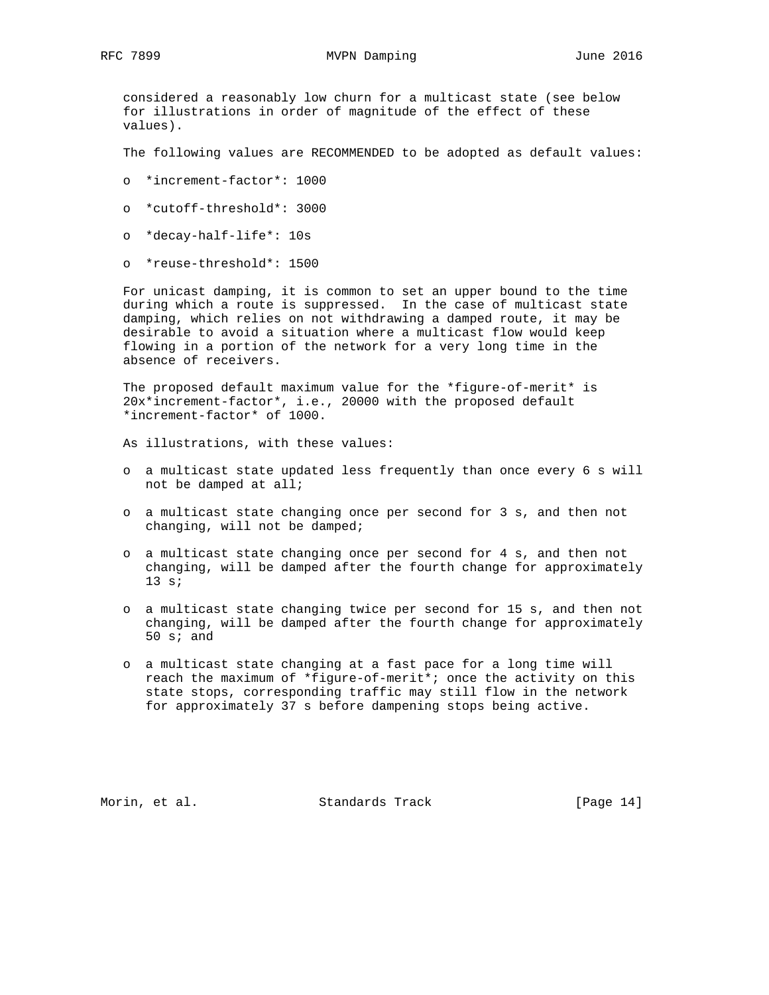considered a reasonably low churn for a multicast state (see below for illustrations in order of magnitude of the effect of these values).

The following values are RECOMMENDED to be adopted as default values:

- o \*increment-factor\*: 1000
- o \*cutoff-threshold\*: 3000
- o \*decay-half-life\*: 10s
- o \*reuse-threshold\*: 1500

 For unicast damping, it is common to set an upper bound to the time during which a route is suppressed. In the case of multicast state damping, which relies on not withdrawing a damped route, it may be desirable to avoid a situation where a multicast flow would keep flowing in a portion of the network for a very long time in the absence of receivers.

 The proposed default maximum value for the \*figure-of-merit\* is 20x\*increment-factor\*, i.e., 20000 with the proposed default \*increment-factor\* of 1000.

As illustrations, with these values:

- o a multicast state updated less frequently than once every 6 s will not be damped at all;
- o a multicast state changing once per second for 3 s, and then not changing, will not be damped;
- o a multicast state changing once per second for 4 s, and then not changing, will be damped after the fourth change for approximately 13 s;
- o a multicast state changing twice per second for 15 s, and then not changing, will be damped after the fourth change for approximately 50 s; and
- o a multicast state changing at a fast pace for a long time will reach the maximum of \*figure-of-merit\*; once the activity on this state stops, corresponding traffic may still flow in the network for approximately 37 s before dampening stops being active.

Morin, et al. Standards Track [Page 14]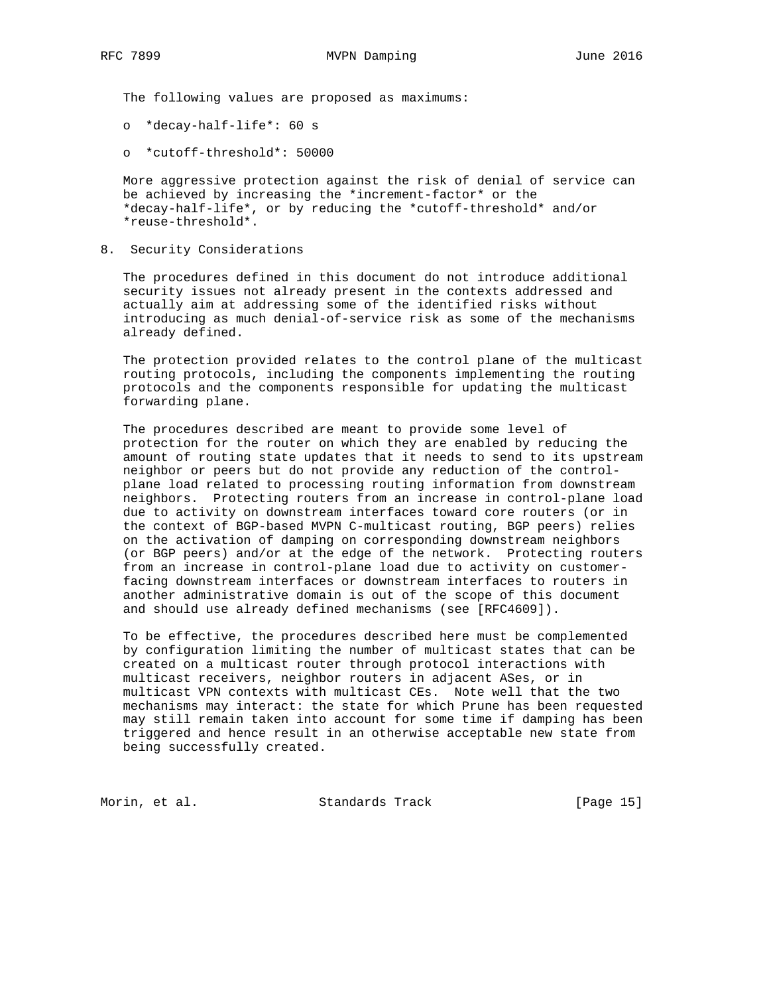The following values are proposed as maximums:

o \*decay-half-life\*: 60 s

o \*cutoff-threshold\*: 50000

 More aggressive protection against the risk of denial of service can be achieved by increasing the \*increment-factor\* or the \*decay-half-life\*, or by reducing the \*cutoff-threshold\* and/or \*reuse-threshold\*.

8. Security Considerations

 The procedures defined in this document do not introduce additional security issues not already present in the contexts addressed and actually aim at addressing some of the identified risks without introducing as much denial-of-service risk as some of the mechanisms already defined.

 The protection provided relates to the control plane of the multicast routing protocols, including the components implementing the routing protocols and the components responsible for updating the multicast forwarding plane.

 The procedures described are meant to provide some level of protection for the router on which they are enabled by reducing the amount of routing state updates that it needs to send to its upstream neighbor or peers but do not provide any reduction of the control plane load related to processing routing information from downstream neighbors. Protecting routers from an increase in control-plane load due to activity on downstream interfaces toward core routers (or in the context of BGP-based MVPN C-multicast routing, BGP peers) relies on the activation of damping on corresponding downstream neighbors (or BGP peers) and/or at the edge of the network. Protecting routers from an increase in control-plane load due to activity on customer facing downstream interfaces or downstream interfaces to routers in another administrative domain is out of the scope of this document and should use already defined mechanisms (see [RFC4609]).

 To be effective, the procedures described here must be complemented by configuration limiting the number of multicast states that can be created on a multicast router through protocol interactions with multicast receivers, neighbor routers in adjacent ASes, or in multicast VPN contexts with multicast CEs. Note well that the two mechanisms may interact: the state for which Prune has been requested may still remain taken into account for some time if damping has been triggered and hence result in an otherwise acceptable new state from being successfully created.

Morin, et al. Standards Track [Page 15]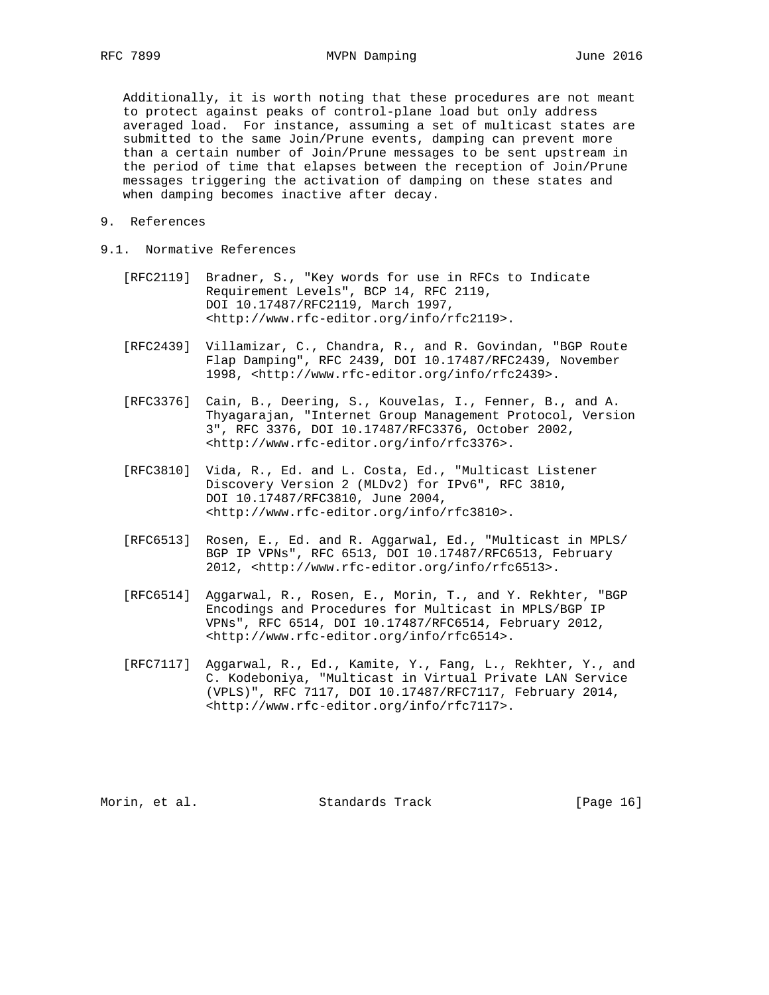Additionally, it is worth noting that these procedures are not meant to protect against peaks of control-plane load but only address averaged load. For instance, assuming a set of multicast states are submitted to the same Join/Prune events, damping can prevent more than a certain number of Join/Prune messages to be sent upstream in the period of time that elapses between the reception of Join/Prune messages triggering the activation of damping on these states and when damping becomes inactive after decay.

- 9. References
- 9.1. Normative References
	- [RFC2119] Bradner, S., "Key words for use in RFCs to Indicate Requirement Levels", BCP 14, RFC 2119, DOI 10.17487/RFC2119, March 1997, <http://www.rfc-editor.org/info/rfc2119>.
	- [RFC2439] Villamizar, C., Chandra, R., and R. Govindan, "BGP Route Flap Damping", RFC 2439, DOI 10.17487/RFC2439, November 1998, <http://www.rfc-editor.org/info/rfc2439>.
	- [RFC3376] Cain, B., Deering, S., Kouvelas, I., Fenner, B., and A. Thyagarajan, "Internet Group Management Protocol, Version 3", RFC 3376, DOI 10.17487/RFC3376, October 2002, <http://www.rfc-editor.org/info/rfc3376>.
	- [RFC3810] Vida, R., Ed. and L. Costa, Ed., "Multicast Listener Discovery Version 2 (MLDv2) for IPv6", RFC 3810, DOI 10.17487/RFC3810, June 2004, <http://www.rfc-editor.org/info/rfc3810>.
	- [RFC6513] Rosen, E., Ed. and R. Aggarwal, Ed., "Multicast in MPLS/ BGP IP VPNs", RFC 6513, DOI 10.17487/RFC6513, February 2012, <http://www.rfc-editor.org/info/rfc6513>.
	- [RFC6514] Aggarwal, R., Rosen, E., Morin, T., and Y. Rekhter, "BGP Encodings and Procedures for Multicast in MPLS/BGP IP VPNs", RFC 6514, DOI 10.17487/RFC6514, February 2012, <http://www.rfc-editor.org/info/rfc6514>.
	- [RFC7117] Aggarwal, R., Ed., Kamite, Y., Fang, L., Rekhter, Y., and C. Kodeboniya, "Multicast in Virtual Private LAN Service (VPLS)", RFC 7117, DOI 10.17487/RFC7117, February 2014, <http://www.rfc-editor.org/info/rfc7117>.

Morin, et al. Standards Track [Page 16]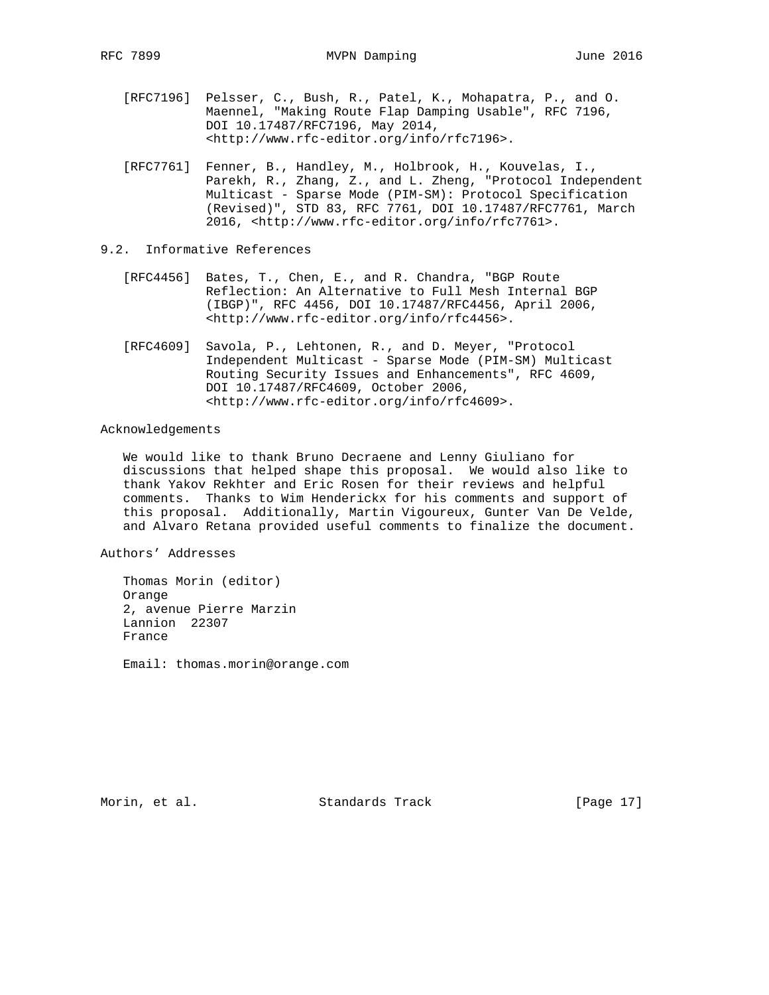- [RFC7196] Pelsser, C., Bush, R., Patel, K., Mohapatra, P., and O. Maennel, "Making Route Flap Damping Usable", RFC 7196, DOI 10.17487/RFC7196, May 2014, <http://www.rfc-editor.org/info/rfc7196>.
- [RFC7761] Fenner, B., Handley, M., Holbrook, H., Kouvelas, I., Parekh, R., Zhang, Z., and L. Zheng, "Protocol Independent Multicast - Sparse Mode (PIM-SM): Protocol Specification (Revised)", STD 83, RFC 7761, DOI 10.17487/RFC7761, March 2016, <http://www.rfc-editor.org/info/rfc7761>.
- 9.2. Informative References
	- [RFC4456] Bates, T., Chen, E., and R. Chandra, "BGP Route Reflection: An Alternative to Full Mesh Internal BGP (IBGP)", RFC 4456, DOI 10.17487/RFC4456, April 2006, <http://www.rfc-editor.org/info/rfc4456>.
	- [RFC4609] Savola, P., Lehtonen, R., and D. Meyer, "Protocol Independent Multicast - Sparse Mode (PIM-SM) Multicast Routing Security Issues and Enhancements", RFC 4609, DOI 10.17487/RFC4609, October 2006, <http://www.rfc-editor.org/info/rfc4609>.

## Acknowledgements

 We would like to thank Bruno Decraene and Lenny Giuliano for discussions that helped shape this proposal. We would also like to thank Yakov Rekhter and Eric Rosen for their reviews and helpful comments. Thanks to Wim Henderickx for his comments and support of this proposal. Additionally, Martin Vigoureux, Gunter Van De Velde, and Alvaro Retana provided useful comments to finalize the document.

Authors' Addresses

 Thomas Morin (editor) Orange 2, avenue Pierre Marzin Lannion 22307 France

Email: thomas.morin@orange.com

Morin, et al. Standards Track [Page 17]